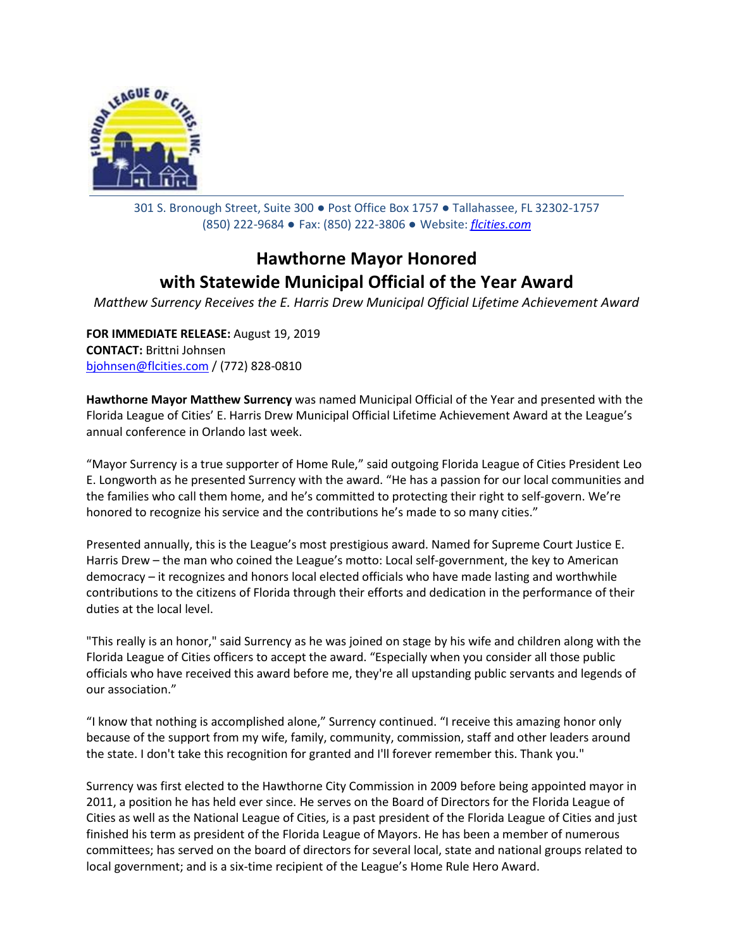

301 S. Bronough Street, Suite 300 ● Post Office Box 1757 ● Tallahassee, FL 32302-1757 (850) 222-9684 ● Fax: (850) 222-3806 ● Website: *[flcities.com](http://www.flcities.com/)*

## **Hawthorne Mayor Honored with Statewide Municipal Official of the Year Award**

*Matthew Surrency Receives the E. Harris Drew Municipal Official Lifetime Achievement Award*

**FOR IMMEDIATE RELEASE:** August 19, 2019 **CONTACT:** Brittni Johnsen [bjohnsen@flcities.com](mailto:bjohnsen@flcities.com) / (772) 828-0810

**Hawthorne Mayor Matthew Surrency** was named Municipal Official of the Year and presented with the Florida League of Cities' E. Harris Drew Municipal Official Lifetime Achievement Award at the League's annual conference in Orlando last week.

"Mayor Surrency is a true supporter of Home Rule," said outgoing Florida League of Cities President Leo E. Longworth as he presented Surrency with the award. "He has a passion for our local communities and the families who call them home, and he's committed to protecting their right to self-govern. We're honored to recognize his service and the contributions he's made to so many cities."

Presented annually, this is the League's most prestigious award. Named for Supreme Court Justice E. Harris Drew – the man who coined the League's motto: Local self-government, the key to American democracy – it recognizes and honors local elected officials who have made lasting and worthwhile contributions to the citizens of Florida through their efforts and dedication in the performance of their duties at the local level.

"This really is an honor," said Surrency as he was joined on stage by his wife and children along with the Florida League of Cities officers to accept the award. "Especially when you consider all those public officials who have received this award before me, they're all upstanding public servants and legends of our association."

"I know that nothing is accomplished alone," Surrency continued. "I receive this amazing honor only because of the support from my wife, family, community, commission, staff and other leaders around the state. I don't take this recognition for granted and I'll forever remember this. Thank you."

Surrency was first elected to the Hawthorne City Commission in 2009 before being appointed mayor in 2011, a position he has held ever since. He serves on the Board of Directors for the Florida League of Cities as well as the National League of Cities, is a past president of the Florida League of Cities and just finished his term as president of the Florida League of Mayors. He has been a member of numerous committees; has served on the board of directors for several local, state and national groups related to local government; and is a six-time recipient of the League's Home Rule Hero Award.